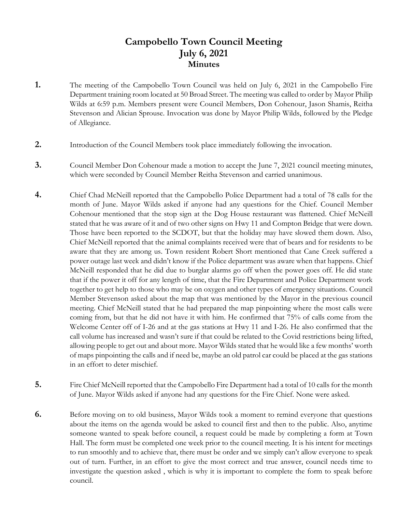## **Campobello Town Council Meeting July 6, 2021 Minutes**

- **1.** The meeting of the Campobello Town Council was held on July 6, 2021 in the Campobello Fire Department training room located at 50 Broad Street. The meeting was called to order by Mayor Philip Wilds at 6:59 p.m. Members present were Council Members, Don Cohenour, Jason Shamis, Reitha Stevenson and Alician Sprouse. Invocation was done by Mayor Philip Wilds, followed by the Pledge of Allegiance.
- **2.** Introduction of the Council Members took place immediately following the invocation.
- **3.** Council Member Don Cohenour made a motion to accept the June 7, 2021 council meeting minutes, which were seconded by Council Member Reitha Stevenson and carried unanimous.
- **4.** Chief Chad McNeill reported that the Campobello Police Department had a total of 78 calls for the month of June. Mayor Wilds asked if anyone had any questions for the Chief. Council Member Cohenour mentioned that the stop sign at the Dog House restaurant was flattened. Chief McNeill stated that he was aware of it and of two other signs on Hwy 11 and Compton Bridge that were down. Those have been reported to the SCDOT, but that the holiday may have slowed them down. Also, Chief McNeill reported that the animal complaints received were that of bears and for residents to be aware that they are among us. Town resident Robert Short mentioned that Cane Creek suffered a power outage last week and didn't know if the Police department was aware when that happens. Chief McNeill responded that he did due to burglar alarms go off when the power goes off. He did state that if the power it off for any length of time, that the Fire Department and Police Department work together to get help to those who may be on oxygen and other types of emergency situations. Council Member Stevenson asked about the map that was mentioned by the Mayor in the previous council meeting. Chief McNeill stated that he had prepared the map pinpointing where the most calls were coming from, but that he did not have it with him. He confirmed that 75% of calls come from the Welcome Center off of I-26 and at the gas stations at Hwy 11 and I-26. He also confirmed that the call volume has increased and wasn't sure if that could be related to the Covid restrictions being lifted, allowing people to get out and about more. Mayor Wilds stated that he would like a few months' worth of maps pinpointing the calls and if need be, maybe an old patrol car could be placed at the gas stations in an effort to deter mischief.
- **5.** Fire Chief McNeill reported that the Campobello Fire Department had a total of 10 calls for the month of June. Mayor Wilds asked if anyone had any questions for the Fire Chief. None were asked.
- **6.** Before moving on to old business, Mayor Wilds took a moment to remind everyone that questions about the items on the agenda would be asked to council first and then to the public. Also, anytime someone wanted to speak before council, a request could be made by completing a form at Town Hall. The form must be completed one week prior to the council meeting. It is his intent for meetings to run smoothly and to achieve that, there must be order and we simply can't allow everyone to speak out of turn. Further, in an effort to give the most correct and true answer, council needs time to investigate the question asked , which is why it is important to complete the form to speak before council.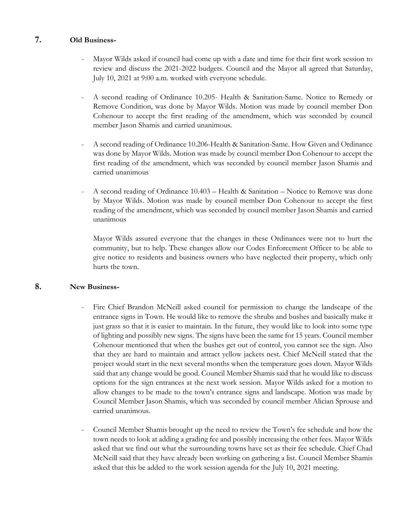### **7. Old Business-**

- Mayor Wilds asked if council had come up with a date and time for their first work session to review and discuss the 2021-2022 budgets. Council and the Mayor all agreed that Saturday, July 10, 2021 at 9:00 a.m. worked with everyone schedule.
- A second reading of Ordinance 10.205- Health & Sanitation-Same. Notice to Remedy or Remove Condition, was done by Mayor Wilds. Motion was made by council member Don Cohenour to accept the first reading of the amendment, which was seconded by council member Jason Shamis and carried unanimous.
- A second reading of Ordinance 10.206-Health & Sanitation-Same. How Given and Ordinance was done by Mayor Wilds. Motion was made by council member Don Cohenour to accept the first reading of the amendment, which was seconded by council member Jason Shamis and carried unanimous
- A second reading of Ordinance 10.403 Health & Sanitation Notice to Remove was done by Mayor Wilds. Motion was made by council member Don Cohenour to accept the first reading of the amendment, which was seconded by council member Jason Shamis and carried unanimous

Mayor Wilds assured everyone that the changes in these Ordinances were not to hurt the community, but to help. These changes allow our Codes Enforcement Officer to be able to give notice to residents and business owners who have neglected their property, which only hurts the town.

### **8. New Business-**

- Fire Chief Brandon McNeill asked council for permission to change the landscape of the entrance signs in Town. He would like to remove the shrubs and bushes and basically make it just grass so that it is easier to maintain. In the future, they would like to look into some type of lighting and possibly new signs. The signs have been the same for 15 years. Council member Cohenour mentioned that when the bushes get out of control, you cannot see the sign. Also that they are hard to maintain and attract yellow jackets nest. Chief McNeill stated that the project would start in the next several months when the temperature goes down. Mayor Wilds said that any change would be good. Council Member Shamis said that he would like to discuss options for the sign entrances at the next work session. Mayor Wilds asked for a motion to allow changes to be made to the town's entrance signs and landscape. Motion was made by Council Member Jason Shamis, which was seconded by council member Alician Sprouse and carried unanimous.
- Council Member Shamis brought up the need to review the Town's fee schedule and how the town needs to look at adding a grading fee and possibly increasing the other fees. Mayor Wilds asked that we find out what the surrounding towns have set as their fee schedule. Chief Chad McNeill said that they have already been working on gathering a list. Council Member Shamis asked that this be added to the work session agenda for the July 10, 2021 meeting.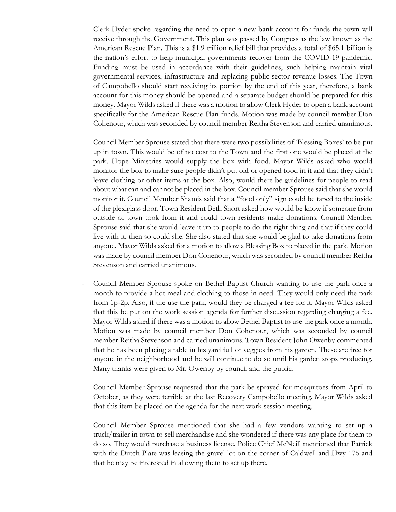- Clerk Hyder spoke regarding the need to open a new bank account for funds the town will receive through the Government. This plan was passed by Congress as the law known as the American Rescue Plan. This is a \$1.9 trillion relief bill that provides a total of \$65.1 billion is the nation's effort to help municipal governments recover from the COVID-19 pandemic. Funding must be used in accordance with their guidelines, such helping maintain vital governmental services, infrastructure and replacing public-sector revenue losses. The Town of Campobello should start receiving its portion by the end of this year, therefore, a bank account for this money should be opened and a separate budget should be prepared for this money. Mayor Wilds asked if there was a motion to allow Clerk Hyder to open a bank account specifically for the American Rescue Plan funds. Motion was made by council member Don Cohenour, which was seconded by council member Reitha Stevenson and carried unanimous.
- Council Member Sprouse stated that there were two possibilities of 'Blessing Boxes' to be put up in town. This would be of no cost to the Town and the first one would be placed at the park. Hope Ministries would supply the box with food. Mayor Wilds asked who would monitor the box to make sure people didn't put old or opened food in it and that they didn't leave clothing or other items at the box. Also, would there be guidelines for people to read about what can and cannot be placed in the box. Council member Sprouse said that she would monitor it. Council Member Shamis said that a "food only" sign could be taped to the inside of the plexiglass door. Town Resident Beth Short asked how would be know if someone from outside of town took from it and could town residents make donations. Council Member Sprouse said that she would leave it up to people to do the right thing and that if they could live with it, then so could she. She also stated that she would be glad to take donations from anyone. Mayor Wilds asked for a motion to allow a Blessing Box to placed in the park. Motion was made by council member Don Cohenour, which was seconded by council member Reitha Stevenson and carried unanimous.
- Council Member Sprouse spoke on Bethel Baptist Church wanting to use the park once a month to provide a hot meal and clothing to those in need. They would only need the park from 1p-2p. Also, if the use the park, would they be charged a fee for it. Mayor Wilds asked that this be put on the work session agenda for further discussion regarding charging a fee. Mayor Wilds asked if there was a motion to allow Bethel Baptist to use the park once a month. Motion was made by council member Don Cohenour, which was seconded by council member Reitha Stevenson and carried unanimous. Town Resident John Owenby commented that he has been placing a table in his yard full of veggies from his garden. These are free for anyone in the neighborhood and he will continue to do so until his garden stops producing. Many thanks were given to Mr. Owenby by council and the public.
- Council Member Sprouse requested that the park be sprayed for mosquitoes from April to October, as they were terrible at the last Recovery Campobello meeting. Mayor Wilds asked that this item be placed on the agenda for the next work session meeting.
- Council Member Sprouse mentioned that she had a few vendors wanting to set up a truck/trailer in town to sell merchandise and she wondered if there was any place for them to do so. They would purchase a business license. Police Chief McNeill mentioned that Patrick with the Dutch Plate was leasing the gravel lot on the corner of Caldwell and Hwy 176 and that he may be interested in allowing them to set up there.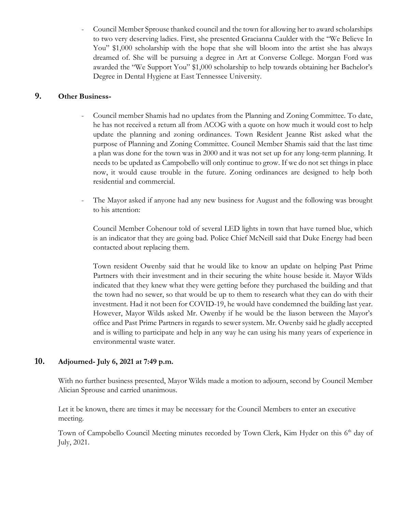- Council Member Sprouse thanked council and the town for allowing her to award scholarships to two very deserving ladies. First, she presented Gracianna Caulder with the "We Believe In You" \$1,000 scholarship with the hope that she will bloom into the artist she has always dreamed of. She will be pursuing a degree in Art at Converse College. Morgan Ford was awarded the "We Support You" \$1,000 scholarship to help towards obtaining her Bachelor's Degree in Dental Hygiene at East Tennessee University.

### **9. Other Business-**

- Council member Shamis had no updates from the Planning and Zoning Committee. To date, he has not received a return all from ACOG with a quote on how much it would cost to help update the planning and zoning ordinances. Town Resident Jeanne Rist asked what the purpose of Planning and Zoning Committee. Council Member Shamis said that the last time a plan was done for the town was in 2000 and it was not set up for any long-term planning. It needs to be updated as Campobello will only continue to grow. If we do not set things in place now, it would cause trouble in the future. Zoning ordinances are designed to help both residential and commercial.
- The Mayor asked if anyone had any new business for August and the following was brought to his attention:

Council Member Cohenour told of several LED lights in town that have turned blue, which is an indicator that they are going bad. Police Chief McNeill said that Duke Energy had been contacted about replacing them.

Town resident Owenby said that he would like to know an update on helping Past Prime Partners with their investment and in their securing the white house beside it. Mayor Wilds indicated that they knew what they were getting before they purchased the building and that the town had no sewer, so that would be up to them to research what they can do with their investment. Had it not been for COVID-19, he would have condemned the building last year. However, Mayor Wilds asked Mr. Owenby if he would be the liason between the Mayor's office and Past Prime Partners in regards to sewer system. Mr. Owenby said he gladly accepted and is willing to participate and help in any way he can using his many years of experience in environmental waste water.

### **10. Adjourned- July 6, 2021 at 7:49 p.m.**

With no further business presented, Mayor Wilds made a motion to adjourn, second by Council Member Alician Sprouse and carried unanimous.

 Let it be known, there are times it may be necessary for the Council Members to enter an executive meeting.

Town of Campobello Council Meeting minutes recorded by Town Clerk, Kim Hyder on this 6<sup>th</sup> day of July, 2021.